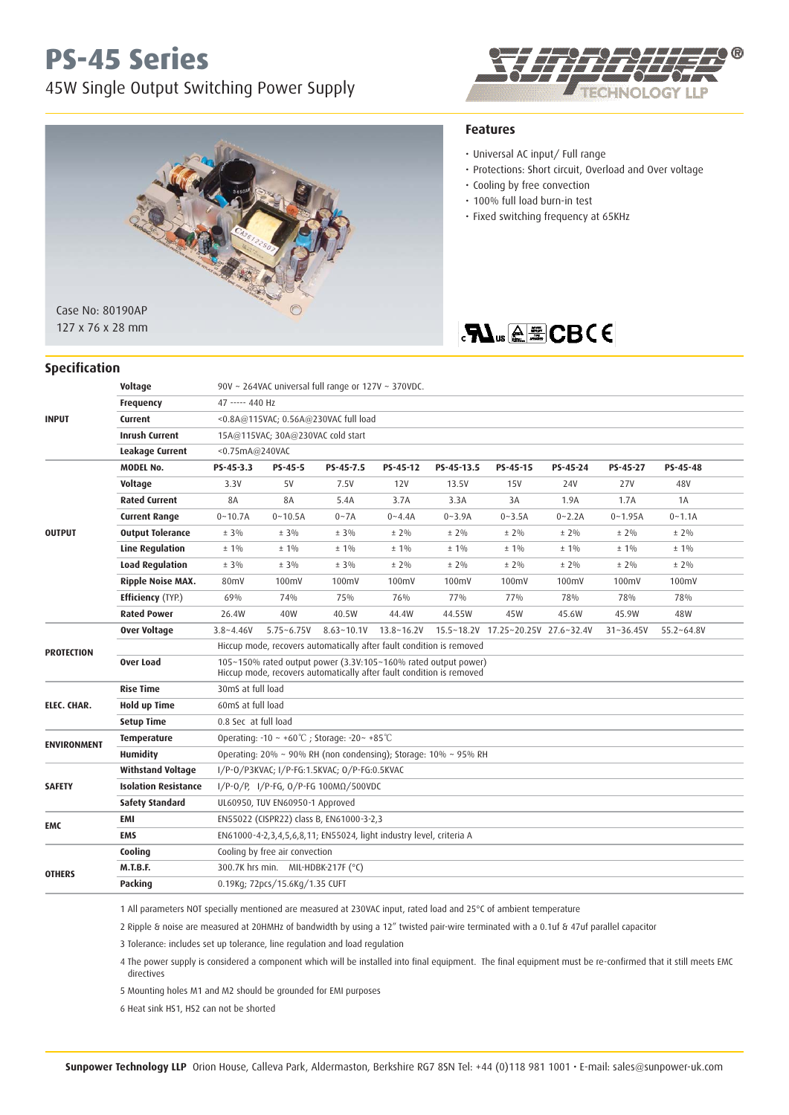## **PS-45 Series**

**Specification**

45W Single Output Switching Power Supply





## **Features**

- Universal AC input/ Full range
- Protections: Short circuit, Overload and Over voltage
- Cooling by free convection
- 100% full load burn-in test
- Fixed switching frequency at 65KHz

## **FLUS A E CBCE**

| <b>INPUT</b>       | Voltage                     | 90V ~ 264VAC universal full range or $127V \sim 370VDC$ .                                                                              |                                |                |                |            |                                    |            |               |                |  |
|--------------------|-----------------------------|----------------------------------------------------------------------------------------------------------------------------------------|--------------------------------|----------------|----------------|------------|------------------------------------|------------|---------------|----------------|--|
|                    | <b>Frequency</b>            | 47 ----- 440 Hz                                                                                                                        |                                |                |                |            |                                    |            |               |                |  |
|                    | Current                     | <0.8A@115VAC: 0.56A@230VAC full load                                                                                                   |                                |                |                |            |                                    |            |               |                |  |
|                    | <b>Inrush Current</b>       | 15A@115VAC; 30A@230VAC cold start                                                                                                      |                                |                |                |            |                                    |            |               |                |  |
|                    | Leakage Current             | $<$ 0.75mA@240VAC                                                                                                                      |                                |                |                |            |                                    |            |               |                |  |
| <b>OUTPUT</b>      | <b>MODEL No.</b>            | PS-45-3.3                                                                                                                              | $PS-45-5$                      | PS-45-7.5      | PS-45-12       | PS-45-13.5 | PS-45-15                           | PS-45-24   | PS-45-27      | PS-45-48       |  |
|                    | Voltage                     | 3.3V                                                                                                                                   | 5V                             | 7.5V           | 12V            | 13.5V      | <b>15V</b>                         | 24V        | <b>27V</b>    | 48V            |  |
|                    | <b>Rated Current</b>        | 8A                                                                                                                                     | 8A                             | 5.4A           | 3.7A           | 3.3A       | 3A                                 | 1.9A       | 1.7A          | 1A             |  |
|                    | <b>Current Range</b>        | $0 - 10.7A$                                                                                                                            | $0 - 10.5A$                    | $0 - 7A$       | $0 - 4.4A$     | $0 - 3.9A$ | $0 - 3.5A$                         | $0 - 2.2A$ | $0 - 1.95A$   | $0 - 1.1A$     |  |
|                    | <b>Output Tolerance</b>     | $± 3\%$                                                                                                                                | $± 3\%$                        | $± 3\%$        | $± 2\%$        | $± 2\%$    | $± 2\%$                            | $± 2\%$    | $± 2\%$       | $± 2\%$        |  |
|                    | <b>Line Regulation</b>      | $± 1\%$                                                                                                                                | $± 1\%$                        | $± 1\%$        | $± 1\%$        | $±1\%$     | $±1\%$                             | $±1\%$     | $± 1\%$       | $± 1\%$        |  |
|                    | <b>Load Regulation</b>      | ± 3%                                                                                                                                   | ± 3%                           | $± 3\%$        | $± 2\%$        | $± 2\%$    | $± 2\%$                            | $± 2\%$    | $± 2\%$       | $± 2\%$        |  |
|                    | <b>Ripple Noise MAX.</b>    | 80 <sub>mV</sub>                                                                                                                       | 100mV                          | 100mV          | 100mV          | 100mV      | 100mV                              | 100mV      | 100mV         | 100mV          |  |
|                    | <b>Efficiency</b> (TYP.)    | 69%                                                                                                                                    | 74%                            | 75%            | 76%            | 77%        | 77%                                | 78%        | 78%           | 78%            |  |
|                    | <b>Rated Power</b>          | 26.4W                                                                                                                                  | 40W                            | 40.5W          | 44.4W          | 44.55W     | 45W                                | 45.6W      | 45.9W         | 48W            |  |
| <b>PROTECTION</b>  | <b>Over Voltage</b>         | $3.8 - 4.46V$                                                                                                                          | $5.75 - 6.75V$                 | $8.63 - 10.1V$ | $13.8 - 16.2V$ |            | 15.5~18.2V 17.25~20.25V 27.6~32.4V |            | $31 - 36.45V$ | $55.2 - 64.8V$ |  |
|                    |                             | Hiccup mode, recovers automatically after fault condition is removed                                                                   |                                |                |                |            |                                    |            |               |                |  |
|                    | Over Load                   | 105~150% rated output power (3.3V:105~160% rated output power)<br>Hiccup mode, recovers automatically after fault condition is removed |                                |                |                |            |                                    |            |               |                |  |
| ELEC. CHAR.        | <b>Rise Time</b>            | 30mS at full load                                                                                                                      |                                |                |                |            |                                    |            |               |                |  |
|                    | <b>Hold up Time</b>         | 60mS at full load                                                                                                                      |                                |                |                |            |                                    |            |               |                |  |
|                    | <b>Setup Time</b>           | 0.8 Sec at full load                                                                                                                   |                                |                |                |            |                                    |            |               |                |  |
| <b>ENVIRONMENT</b> | <b>Temperature</b>          | Operating: $-10 \sim +60^{\circ}$ C ; Storage: $-20 \sim +85^{\circ}$ C                                                                |                                |                |                |            |                                    |            |               |                |  |
|                    | <b>Humidity</b>             | Operating: $20\% \sim 90\%$ RH (non condensing); Storage: $10\% \sim 95\%$ RH                                                          |                                |                |                |            |                                    |            |               |                |  |
| <b>SAFETY</b>      | <b>Withstand Voltage</b>    | I/P-0/P3KVAC; I/P-FG:1.5KVAC; 0/P-FG:0.5KVAC                                                                                           |                                |                |                |            |                                    |            |               |                |  |
|                    | <b>Isolation Resistance</b> | $1/P-O/P$ , $1/P-FG$ , $O/P-FG$ 100MΩ/500VDC                                                                                           |                                |                |                |            |                                    |            |               |                |  |
|                    | <b>Safety Standard</b>      | UL60950, TUV EN60950-1 Approved                                                                                                        |                                |                |                |            |                                    |            |               |                |  |
| <b>EMC</b>         | EMI                         | EN55022 (CISPR22) class B, EN61000-3-2,3                                                                                               |                                |                |                |            |                                    |            |               |                |  |
|                    | <b>EMS</b>                  | EN61000-4-2,3,4,5,6,8,11; EN55024, light industry level, criteria A                                                                    |                                |                |                |            |                                    |            |               |                |  |
| <b>OTHERS</b>      | Cooling                     | Cooling by free air convection                                                                                                         |                                |                |                |            |                                    |            |               |                |  |
|                    | <b>M.T.B.F.</b>             | 300.7K hrs min. MIL-HDBK-217F (°C)                                                                                                     |                                |                |                |            |                                    |            |               |                |  |
|                    | Packing                     |                                                                                                                                        | 0.19Kg; 72pcs/15.6Kg/1.35 CUFT |                |                |            |                                    |            |               |                |  |
|                    |                             |                                                                                                                                        |                                |                |                |            |                                    |            |               |                |  |

1 All parameters NOT specially mentioned are measured at 230VAC input, rated load and 25°C of ambient temperature

2 Ripple & noise are measured at 20HMHz of bandwidth by using a 12" twisted pair-wire terminated with a 0.1uf & 47uf parallel capacitor

3 Tolerance: includes set up tolerance, line regulation and load regulation

 4 The power supply is considered a component which will be installed into final equipment. The final equipment must be re-confirmed that it still meets EMC directives

5 Mounting holes M1 and M2 should be grounded for EMI purposes

6 Heat sink HS1, HS2 can not be shorted